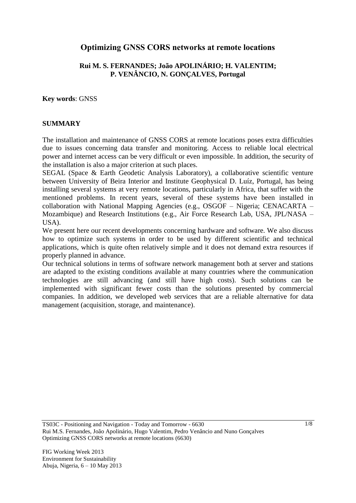## **Optimizing GNSS CORS networks at remote locations**

### **Rui M. S. FERNANDES; João APOLINÁRIO; H. VALENTIM; P. VENÂNCIO, N. GONÇALVES, Portugal**

**Key words**: GNSS

#### **SUMMARY**

The installation and maintenance of GNSS CORS at remote locations poses extra difficulties due to issues concerning data transfer and monitoring. Access to reliable local electrical power and internet access can be very difficult or even impossible. In addition, the security of the installation is also a major criterion at such places.

SEGAL (Space & Earth Geodetic Analysis Laboratory), a collaborative scientific venture between University of Beira Interior and Institute Geophysical D. Luíz, Portugal, has being installing several systems at very remote locations, particularly in Africa, that suffer with the mentioned problems. In recent years, several of these systems have been installed in collaboration with National Mapping Agencies (e.g., OSGOF – Nigeria; CENACARTA – Mozambique) and Research Institutions (e.g., Air Force Research Lab, USA, JPL/NASA – USA).

We present here our recent developments concerning hardware and software. We also discuss how to optimize such systems in order to be used by different scientific and technical applications, which is quite often relatively simple and it does not demand extra resources if properly planned in advance.

Our technical solutions in terms of software network management both at server and stations are adapted to the existing conditions available at many countries where the communication technologies are still advancing (and still have high costs). Such solutions can be implemented with significant fewer costs than the solutions presented by commercial companies. In addition, we developed web services that are a reliable alternative for data management (acquisition, storage, and maintenance).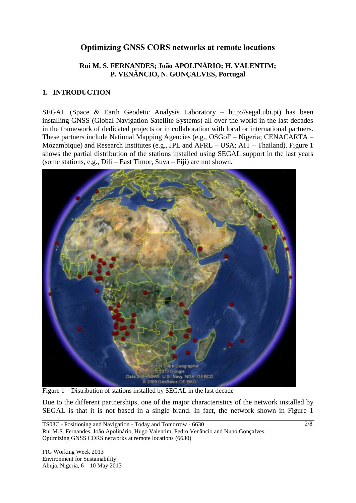# **Optimizing GNSS CORS networks at remote locations**

### **Rui M. S. FERNANDES; João APOLINÁRIO; H. VALENTIM; P. VENÂNCIO, N. GONÇALVES, Portugal**

### **1. INTRODUCTION**

SEGAL (Space & Earth Geodetic Analysis Laboratory – http://segal.ubi.pt) has been installing GNSS (Global Navigation Satellite Systems) all over the world in the last decades in the framework of dedicated projects or in collaboration with local or international partners. These partners include National Mapping Agencies (e.g., OSGoF – Nigeria; CENACARTA – Mozambique) and Research Institutes (e.g., JPL and AFRL – USA; AIT – Thailand). Figure 1 shows the partial distribution of the stations installed using SEGAL support in the last years (some stations, e.g., Dili – East Timor, Suva – Fiji) are not shown.



Figure 1 – Distribution of stations installed by SEGAL in the last decade

Due to the different partnerships, one of the major characteristics of the network installed by SEGAL is that it is not based in a single brand. In fact, the network shown in Figure 1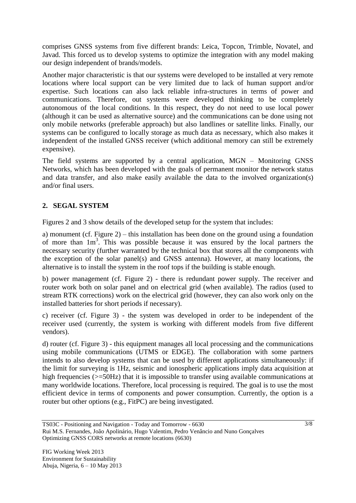comprises GNSS systems from five different brands: Leica, Topcon, Trimble, Novatel, and Javad. This forced us to develop systems to optimize the integration with any model making our design independent of brands/models.

Another major characteristic is that our systems were developed to be installed at very remote locations where local support can be very limited due to lack of human support and/or expertise. Such locations can also lack reliable infra-structures in terms of power and communications. Therefore, out systems were developed thinking to be completely autonomous of the local conditions. In this respect, they do not need to use local power (although it can be used as alternative source) and the communications can be done using not only mobile networks (preferable approach) but also landlines or satellite links. Finally, our systems can be configured to locally storage as much data as necessary, which also makes it independent of the installed GNSS receiver (which additional memory can still be extremely expensive).

The field systems are supported by a central application, MGN – Monitoring GNSS Networks, which has been developed with the goals of permanent monitor the network status and data transfer, and also make easily available the data to the involved organization(s) and/or final users.

## **2. SEGAL SYSTEM**

Figures 2 and 3 show details of the developed setup for the system that includes:

a) monument (cf. Figure 2) – this installation has been done on the ground using a foundation of more than  $1m<sup>3</sup>$ . This was possible because it was ensured by the local partners the necessary security (further warranted by the technical box that stores all the components with the exception of the solar panel(s) and GNSS antenna). However, at many locations, the alternative is to install the system in the roof tops if the building is stable enough.

b) power management (cf. Figure 2) - there is redundant power supply. The receiver and router work both on solar panel and on electrical grid (when available). The radios (used to stream RTK corrections) work on the electrical grid (however, they can also work only on the installed batteries for short periods if necessary).

c) receiver (cf. Figure 3) - the system was developed in order to be independent of the receiver used (currently, the system is working with different models from five different vendors).

d) router (cf. Figure 3) - this equipment manages all local processing and the communications using mobile communications (UTMS or EDGE). The collaboration with some partners intends to also develop systems that can be used by different applications simultaneously: if the limit for surveying is 1Hz, seismic and ionospheric applications imply data acquisition at high frequencies ( $> = 50$ Hz) that it is impossible to transfer using available communications at many worldwide locations. Therefore, local processing is required. The goal is to use the most efficient device in terms of components and power consumption. Currently, the option is a router but other options (e.g., FitPC) are being investigated.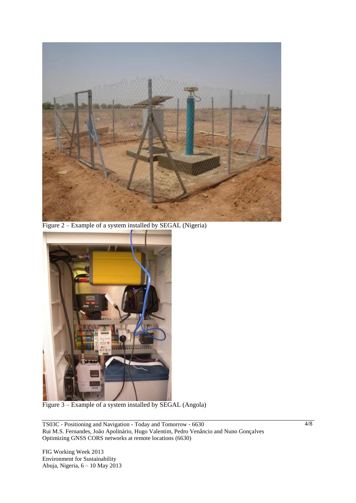

Figure 2 – Example of a system installed by SEGAL (Nigeria)



Figure 3 – Example of a system installed by SEGAL (Angola)

TS03C - Positioning and Navigation - Today and Tomorrow - 6630 Rui M.S. Fernandes, João Apolinário, Hugo Valentim, Pedro Venâncio and Nuno Gonçalves Optimizing GNSS CORS networks at remote locations (6630)

FIG Working Week 2013 Environment for Sustainability Abuja, Nigeria, 6 – 10 May 2013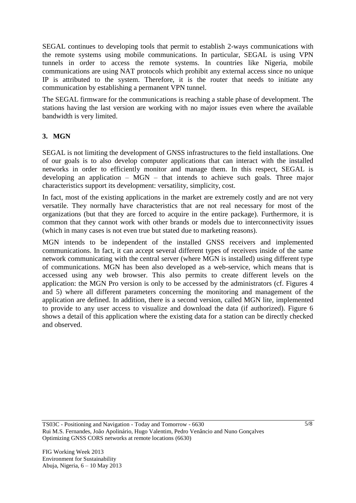SEGAL continues to developing tools that permit to establish 2-ways communications with the remote systems using mobile communications. In particular, SEGAL is using VPN tunnels in order to access the remote systems. In countries like Nigeria, mobile communications are using NAT protocols which prohibit any external access since no unique IP is attributed to the system. Therefore, it is the router that needs to initiate any communication by establishing a permanent VPN tunnel.

The SEGAL firmware for the communications is reaching a stable phase of development. The stations having the last version are working with no major issues even where the available bandwidth is very limited.

### **3. MGN**

SEGAL is not limiting the development of GNSS infrastructures to the field installations. One of our goals is to also develop computer applications that can interact with the installed networks in order to efficiently monitor and manage them. In this respect, SEGAL is developing an application – MGN – that intends to achieve such goals. Three major characteristics support its development: versatility, simplicity, cost.

In fact, most of the existing applications in the market are extremely costly and are not very versatile. They normally have characteristics that are not real necessary for most of the organizations (but that they are forced to acquire in the entire package). Furthermore, it is common that they cannot work with other brands or models due to interconnectivity issues (which in many cases is not even true but stated due to marketing reasons).

MGN intends to be independent of the installed GNSS receivers and implemented communications. In fact, it can accept several different types of receivers inside of the same network communicating with the central server (where MGN is installed) using different type of communications. MGN has been also developed as a web-service, which means that is accessed using any web browser. This also permits to create different levels on the application: the MGN Pro version is only to be accessed by the administrators (cf. Figures 4 and 5) where all different parameters concerning the monitoring and management of the application are defined. In addition, there is a second version, called MGN lite, implemented to provide to any user access to visualize and download the data (if authorized). Figure 6 shows a detail of this application where the existing data for a station can be directly checked and observed.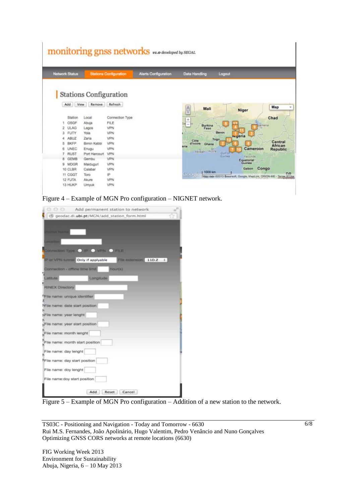|                                                                                                                                                                                                            |                                                                                                                   |                                                                                                                             | <b>monitoring gnss networks</b> v1.0 developed by SEGAL |                                                                                                 |                                                                                                                                                                 |
|------------------------------------------------------------------------------------------------------------------------------------------------------------------------------------------------------------|-------------------------------------------------------------------------------------------------------------------|-----------------------------------------------------------------------------------------------------------------------------|---------------------------------------------------------|-------------------------------------------------------------------------------------------------|-----------------------------------------------------------------------------------------------------------------------------------------------------------------|
| <b>Network Status</b>                                                                                                                                                                                      |                                                                                                                   | <b>Stations Configuration</b>                                                                                               | <b>Alerts Configuration</b>                             | <b>Data Handling</b>                                                                            | Logaut                                                                                                                                                          |
| View<br>Add<br>Station<br>OSGF<br>1<br><b>ULAG</b><br>2<br>з<br><b>FUTY</b><br><b>ABUZ</b><br>4<br><b>BKFP</b><br>5<br><b>UNEC</b><br>6<br>7<br><b>RUST</b><br>8<br><b>GEMB</b><br><b>MDGR</b><br>$\Omega$ | Remove<br>Local<br>Abula<br>Lagos<br>Yola<br>Zaria<br>Bimin Kebbi<br>Enugu<br>Port Harcourt<br>Gembu<br>Maiduguri | <b>Stations Configuration</b><br>Refresh<br>Connection Type<br>FILE<br>VPN<br>VPN<br>VPN<br>VPN<br>VPN<br>VPN<br>VPN<br>VPN |                                                         | Ů<br>Mali<br>÷<br>$-95$<br>Burkina<br>Faso<br>Côte<br>d'Ivaire<br>Ghana<br>eria<br>Abigan Accra | Map<br>Niger<br>Chad<br>Benin<br>regeria<br>Togo<br>Central<br>African<br>Cameroon<br>Republic<br>Gu <sup>H</sup> o<br>Yaqunde<br>Gumes<br>Equatorial<br>Guinea |
| 10 CLBR<br>11 CGGT<br>12 FUTA<br>13 HUKP                                                                                                                                                                   | Calabar<br>Toro<br>Akure<br>Umyuk                                                                                 | VPN<br>IP<br>VPN<br>VPN                                                                                                     |                                                         | 1.1000 km<br>Cond                                                                               | Congo<br>Gabon<br>Map date #2013 Besarech, Google, MapLink, ORION-ME - Terres of the                                                                            |

Figure 4 – Example of MGN Pro configuration – NIGNET network.

| 88 6 6                                     | Add permanent station to network                          | ш |
|--------------------------------------------|-----------------------------------------------------------|---|
|                                            | geodac.di.ubi.pt/MGN/add_station_form.html                |   |
|                                            |                                                           |   |
| <b><i><u>RIGHT MISTIO</u></i></b>          |                                                           |   |
|                                            |                                                           |   |
| <b>Call II</b>                             |                                                           |   |
|                                            | Connection Type C IP VPN C FILE                           |   |
|                                            |                                                           |   |
|                                            | IP or VPN tunnel Only if applyable File momention 11D.Z : |   |
| Connection - offline time limit            |                                                           |   |
|                                            | hour(s)                                                   |   |
| Latitute                                   | Longitude                                                 |   |
| e                                          |                                                           |   |
| <b>RINEX Directory</b>                     |                                                           |   |
| File name: unique identifier               |                                                           |   |
|                                            |                                                           |   |
| Mile name: date start position             |                                                           |   |
|                                            |                                                           |   |
| NFile name: year lenght                    |                                                           |   |
| KFile name: year start position            |                                                           |   |
|                                            |                                                           |   |
| File name: month lenght                    |                                                           |   |
| File name: month start position            |                                                           |   |
|                                            |                                                           |   |
| File name: day lenght                      |                                                           |   |
|                                            |                                                           |   |
| <sup>h</sup> File name: day start position |                                                           |   |
| File name: doy lenght                      |                                                           |   |
|                                            |                                                           |   |
| File name:doy start position               |                                                           |   |
|                                            |                                                           |   |
|                                            | Add<br>Reset Cancel                                       |   |

Figure 5 – Example of MGN Pro configuration – Addition of a new station to the network.

TS03C - Positioning and Navigation - Today and Tomorrow - 6630 Rui M.S. Fernandes, João Apolinário, Hugo Valentim, Pedro Venâncio and Nuno Gonçalves Optimizing GNSS CORS networks at remote locations (6630)

FIG Working Week 2013 Environment for Sustainability Abuja, Nigeria, 6 – 10 May 2013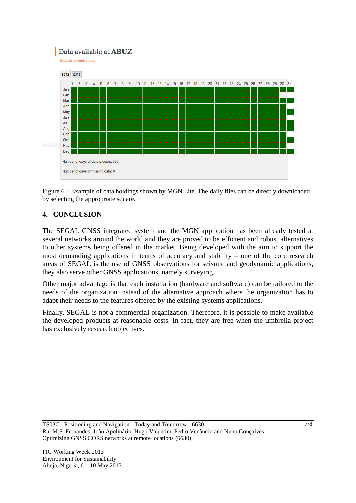# Data available at **ABUZ**

**Back to network status** 



Figure 6 – Example of data holdings shown by MGN Lite. The daily files can be directly downloaded by selecting the appropriate square.

### **4. CONCLUSION**

The SEGAL GNSS integrated system and the MGN application has been already tested at several networks around the world and they are proved to be efficient and robust alternatives to other systems being offered in the market. Being developed with the aim to support the most demanding applications in terms of accuracy and stability – one of the core research areas of SEGAL is the use of GNSS observations for seismic and geodynamic applications, they also serve other GNSS applications, namely surveying.

Other major advantage is that each installation (hardware and software) can be tailored to the needs of the organization instead of the alternative approach where the organization has to adapt their needs to the features offered by the existing systems applications.

Finally, SEGAL is not a commercial organization. Therefore, it is possible to make available the developed products at reasonable costs. In fact, they are free when the umbrella project has exclusively research objectives.